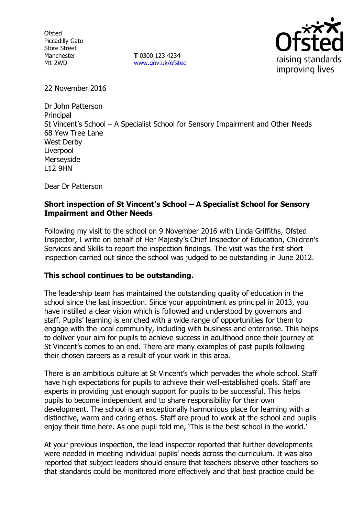Ofsted Piccadilly Gate Store Street Manchester M1 2WD

**T** 0300 123 4234 www.gov.uk/ofsted



22 November 2016

Dr John Patterson **Principal** St Vincent's School – A Specialist School for Sensory Impairment and Other Needs 68 Yew Tree Lane West Derby Liverpool Merseyside L12 9HN

Dear Dr Patterson

## **Short inspection of St Vincent's School – A Specialist School for Sensory Impairment and Other Needs**

Following my visit to the school on 9 November 2016 with Linda Griffiths, Ofsted Inspector, I write on behalf of Her Majesty's Chief Inspector of Education, Children's Services and Skills to report the inspection findings. The visit was the first short inspection carried out since the school was judged to be outstanding in June 2012.

## **This school continues to be outstanding.**

The leadership team has maintained the outstanding quality of education in the school since the last inspection. Since your appointment as principal in 2013, you have instilled a clear vision which is followed and understood by governors and staff. Pupils' learning is enriched with a wide range of opportunities for them to engage with the local community, including with business and enterprise. This helps to deliver your aim for pupils to achieve success in adulthood once their journey at St Vincent's comes to an end. There are many examples of past pupils following their chosen careers as a result of your work in this area.

There is an ambitious culture at St Vincent's which pervades the whole school. Staff have high expectations for pupils to achieve their well-established goals. Staff are experts in providing just enough support for pupils to be successful. This helps pupils to become independent and to share responsibility for their own development. The school is an exceptionally harmonious place for learning with a distinctive, warm and caring ethos. Staff are proud to work at the school and pupils enjoy their time here. As one pupil told me, 'This is the best school in the world.'

At your previous inspection, the lead inspector reported that further developments were needed in meeting individual pupils' needs across the curriculum. It was also reported that subject leaders should ensure that teachers observe other teachers so that standards could be monitored more effectively and that best practice could be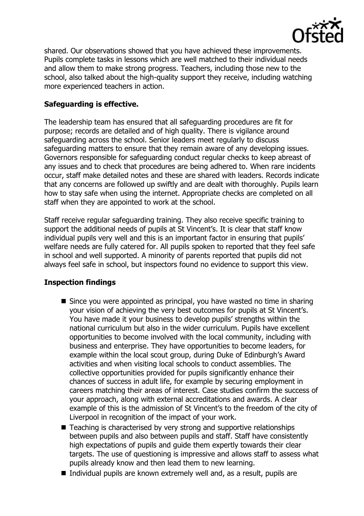

shared. Our observations showed that you have achieved these improvements. Pupils complete tasks in lessons which are well matched to their individual needs and allow them to make strong progress. Teachers, including those new to the school, also talked about the high-quality support they receive, including watching more experienced teachers in action.

# **Safeguarding is effective.**

The leadership team has ensured that all safeguarding procedures are fit for purpose; records are detailed and of high quality. There is vigilance around safeguarding across the school. Senior leaders meet regularly to discuss safeguarding matters to ensure that they remain aware of any developing issues. Governors responsible for safeguarding conduct regular checks to keep abreast of any issues and to check that procedures are being adhered to. When rare incidents occur, staff make detailed notes and these are shared with leaders. Records indicate that any concerns are followed up swiftly and are dealt with thoroughly. Pupils learn how to stay safe when using the internet. Appropriate checks are completed on all staff when they are appointed to work at the school.

Staff receive regular safeguarding training. They also receive specific training to support the additional needs of pupils at St Vincent's. It is clear that staff know individual pupils very well and this is an important factor in ensuring that pupils' welfare needs are fully catered for. All pupils spoken to reported that they feel safe in school and well supported. A minority of parents reported that pupils did not always feel safe in school, but inspectors found no evidence to support this view.

# **Inspection findings**

- Since you were appointed as principal, you have wasted no time in sharing your vision of achieving the very best outcomes for pupils at St Vincent's. You have made it your business to develop pupils' strengths within the national curriculum but also in the wider curriculum. Pupils have excellent opportunities to become involved with the local community, including with business and enterprise. They have opportunities to become leaders, for example within the local scout group, during Duke of Edinburgh's Award activities and when visiting local schools to conduct assemblies. The collective opportunities provided for pupils significantly enhance their chances of success in adult life, for example by securing employment in careers matching their areas of interest. Case studies confirm the success of your approach, along with external accreditations and awards. A clear example of this is the admission of St Vincent's to the freedom of the city of Liverpool in recognition of the impact of your work.
- Teaching is characterised by very strong and supportive relationships between pupils and also between pupils and staff. Staff have consistently high expectations of pupils and guide them expertly towards their clear targets. The use of questioning is impressive and allows staff to assess what pupils already know and then lead them to new learning.
- Individual pupils are known extremely well and, as a result, pupils are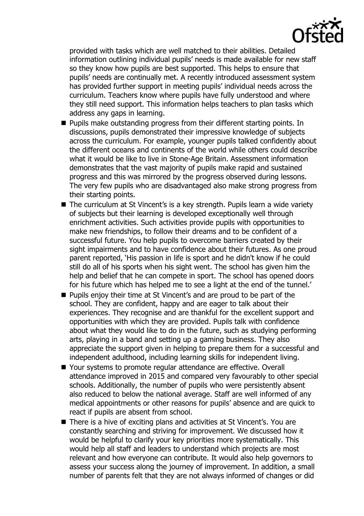

provided with tasks which are well matched to their abilities. Detailed information outlining individual pupils' needs is made available for new staff so they know how pupils are best supported. This helps to ensure that pupils' needs are continually met. A recently introduced assessment system has provided further support in meeting pupils' individual needs across the curriculum. Teachers know where pupils have fully understood and where they still need support. This information helps teachers to plan tasks which address any gaps in learning.

- $\blacksquare$  Pupils make outstanding progress from their different starting points. In discussions, pupils demonstrated their impressive knowledge of subjects across the curriculum. For example, younger pupils talked confidently about the different oceans and continents of the world while others could describe what it would be like to live in Stone-Age Britain. Assessment information demonstrates that the vast majority of pupils make rapid and sustained progress and this was mirrored by the progress observed during lessons. The very few pupils who are disadvantaged also make strong progress from their starting points.
- The curriculum at St Vincent's is a key strength. Pupils learn a wide variety of subjects but their learning is developed exceptionally well through enrichment activities. Such activities provide pupils with opportunities to make new friendships, to follow their dreams and to be confident of a successful future. You help pupils to overcome barriers created by their sight impairments and to have confidence about their futures. As one proud parent reported, 'His passion in life is sport and he didn't know if he could still do all of his sports when his sight went. The school has given him the help and belief that he can compete in sport. The school has opened doors for his future which has helped me to see a light at the end of the tunnel.'
- Pupils enjoy their time at St Vincent's and are proud to be part of the school. They are confident, happy and are eager to talk about their experiences. They recognise and are thankful for the excellent support and opportunities with which they are provided. Pupils talk with confidence about what they would like to do in the future, such as studying performing arts, playing in a band and setting up a gaming business. They also appreciate the support given in helping to prepare them for a successful and independent adulthood, including learning skills for independent living.
- Your systems to promote regular attendance are effective. Overall attendance improved in 2015 and compared very favourably to other special schools. Additionally, the number of pupils who were persistently absent also reduced to below the national average. Staff are well informed of any medical appointments or other reasons for pupils' absence and are quick to react if pupils are absent from school.
- There is a hive of exciting plans and activities at St Vincent's. You are constantly searching and striving for improvement. We discussed how it would be helpful to clarify your key priorities more systematically. This would help all staff and leaders to understand which projects are most relevant and how everyone can contribute. It would also help governors to assess your success along the journey of improvement. In addition, a small number of parents felt that they are not always informed of changes or did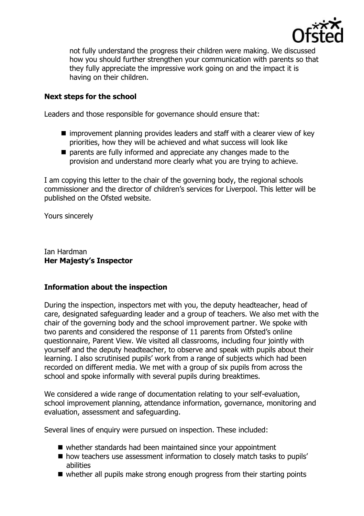

not fully understand the progress their children were making. We discussed how you should further strengthen your communication with parents so that they fully appreciate the impressive work going on and the impact it is having on their children.

# **Next steps for the school**

Leaders and those responsible for governance should ensure that:

- improvement planning provides leaders and staff with a clearer view of key priorities, how they will be achieved and what success will look like
- $\blacksquare$  parents are fully informed and appreciate any changes made to the provision and understand more clearly what you are trying to achieve.

I am copying this letter to the chair of the governing body, the regional schools commissioner and the director of children's services for Liverpool. This letter will be published on the Ofsted website.

Yours sincerely

Ian Hardman **Her Majesty's Inspector**

## **Information about the inspection**

During the inspection, inspectors met with you, the deputy headteacher, head of care, designated safeguarding leader and a group of teachers. We also met with the chair of the governing body and the school improvement partner. We spoke with two parents and considered the response of 11 parents from Ofsted's online questionnaire, Parent View. We visited all classrooms, including four jointly with yourself and the deputy headteacher, to observe and speak with pupils about their learning. I also scrutinised pupils' work from a range of subjects which had been recorded on different media. We met with a group of six pupils from across the school and spoke informally with several pupils during breaktimes.

We considered a wide range of documentation relating to your self-evaluation, school improvement planning, attendance information, governance, monitoring and evaluation, assessment and safeguarding.

Several lines of enquiry were pursued on inspection. These included:

- whether standards had been maintained since your appointment
- **n** how teachers use assessment information to closely match tasks to pupils' abilities
- whether all pupils make strong enough progress from their starting points